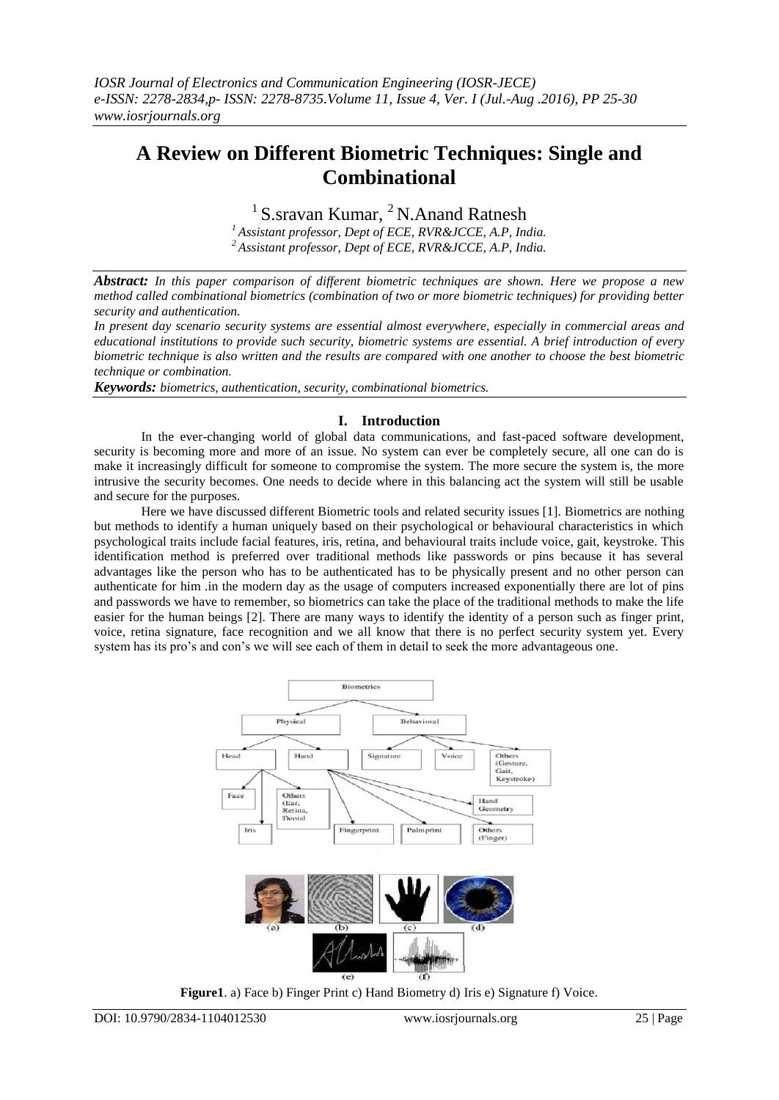# **A Review on Different Biometric Techniques: Single and Combinational**

<sup>1</sup> S.sravan Kumar, <sup>2</sup> N.Anand Ratnesh

*<sup>1</sup> Assistant professor, Dept of ECE, RVR&JCCE, A.P, India. <sup>2</sup> Assistant professor, Dept of ECE, RVR&JCCE, A.P, India.*

*Abstract: In this paper comparison of different biometric techniques are shown. Here we propose a new method called combinational biometrics (combination of two or more biometric techniques) for providing better security and authentication.*

*In present day scenario security systems are essential almost everywhere, especially in commercial areas and educational institutions to provide such security, biometric systems are essential. A brief introduction of every biometric technique is also written and the results are compared with one another to choose the best biometric technique or combination.*

*Keywords: biometrics, authentication, security, combinational biometrics.*

## **I. Introduction**

In the ever-changing world of global data communications, and fast-paced software development, security is becoming more and more of an issue. No system can ever be completely secure, all one can do is make it increasingly difficult for someone to compromise the system. The more secure the system is, the more intrusive the security becomes. One needs to decide where in this balancing act the system will still be usable and secure for the purposes.

Here we have discussed different Biometric tools and related security issues [1]. Biometrics are nothing but methods to identify a human uniquely based on their psychological or behavioural characteristics in which psychological traits include facial features, iris, retina, and behavioural traits include voice, gait, keystroke. This identification method is preferred over traditional methods like passwords or pins because it has several advantages like the person who has to be authenticated has to be physically present and no other person can authenticate for him .in the modern day as the usage of computers increased exponentially there are lot of pins and passwords we have to remember, so biometrics can take the place of the traditional methods to make the life easier for the human beings [2]. There are many ways to identify the identity of a person such as finger print, voice, retina signature, face recognition and we all know that there is no perfect security system yet. Every system has its pro's and con's we will see each of them in detail to seek the more advantageous one.



**Figure1**. a) Face b) Finger Print c) Hand Biometry d) Iris e) Signature f) Voice.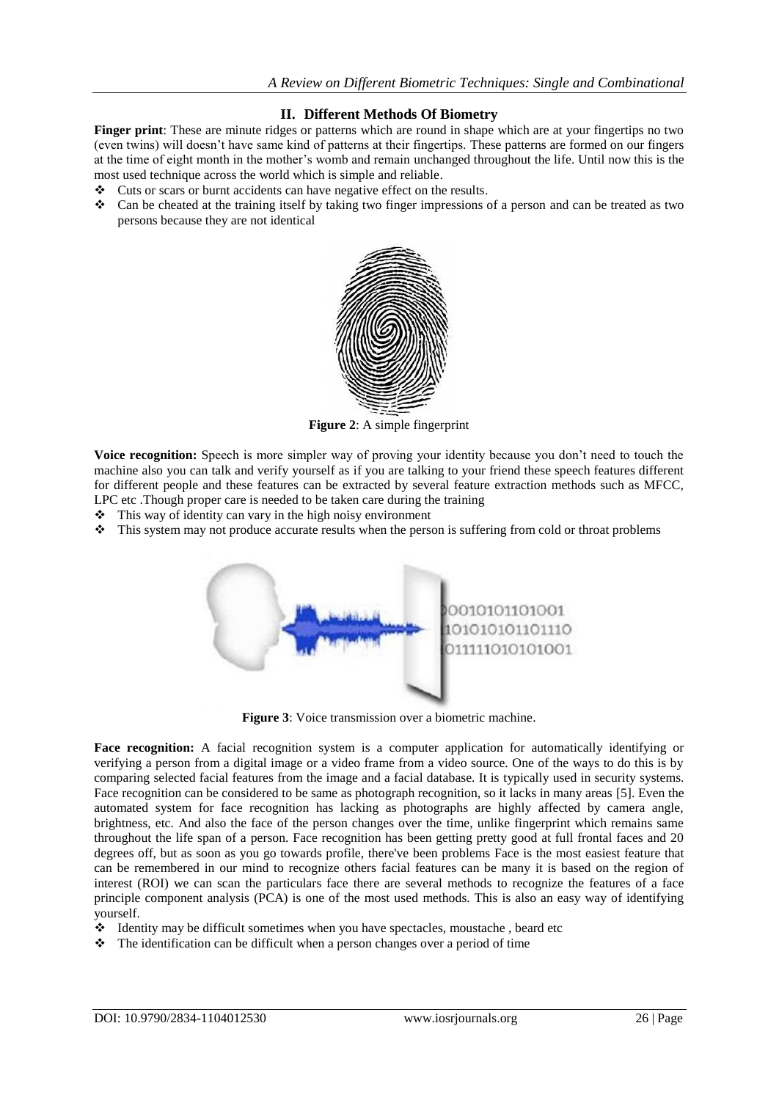## **II. Different Methods Of Biometry**

**Finger print**: These are minute ridges or patterns which are round in shape which are at your fingertips no two (even twins) will doesn't have same kind of patterns at their fingertips. These patterns are formed on our fingers at the time of eight month in the mother's womb and remain unchanged throughout the life. Until now this is the most used technique across the world which is simple and reliable.

- Cuts or scars or burnt accidents can have negative effect on the results.
- Can be cheated at the training itself by taking two finger impressions of a person and can be treated as two persons because they are not identical



**Figure 2**: A simple fingerprint

**Voice recognition:** Speech is more simpler way of proving your identity because you don't need to touch the machine also you can talk and verify yourself as if you are talking to your friend these speech features different for different people and these features can be extracted by several feature extraction methods such as MFCC, LPC etc .Though proper care is needed to be taken care during the training

- $\cdot \cdot$  This way of identity can vary in the high noisy environment
- This system may not produce accurate results when the person is suffering from cold or throat problems



**Figure 3**: Voice transmission over a biometric machine.

**Face recognition:** A facial recognition system is a computer application for automatically identifying or verifying a person from a digital image or a video frame from a video source. One of the ways to do this is by comparing selected facial features from the image and a facial database. It is typically used in security systems. Face recognition can be considered to be same as photograph recognition, so it lacks in many areas [5]. Even the automated system for face recognition has lacking as photographs are highly affected by camera angle, brightness, etc. And also the face of the person changes over the time, unlike fingerprint which remains same throughout the life span of a person. Face recognition has been getting pretty good at full frontal faces and 20 degrees off, but as soon as you go towards profile, there've been problems Face is the most easiest feature that can be remembered in our mind to recognize others facial features can be many it is based on the region of interest (ROI) we can scan the particulars face there are several methods to recognize the features of a face principle component analysis (PCA) is one of the most used methods. This is also an easy way of identifying yourself.

- Identity may be difficult sometimes when you have spectacles, moustache , beard etc
- $\cdot \cdot$  The identification can be difficult when a person changes over a period of time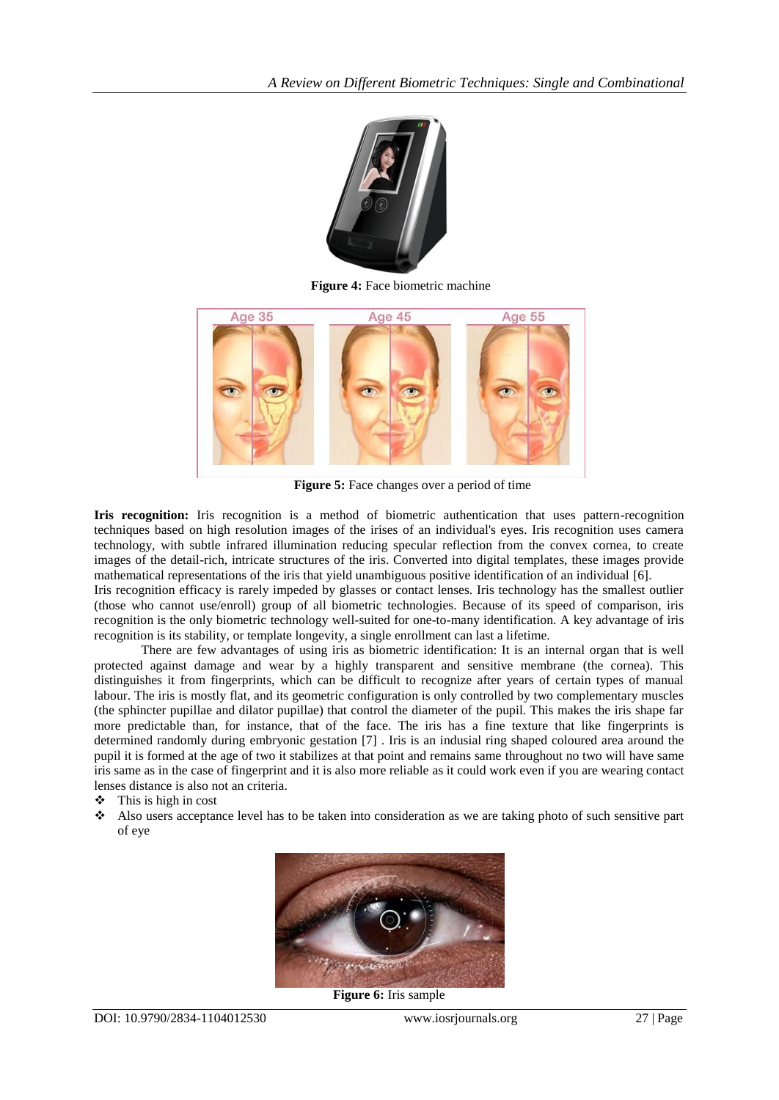

**Figure 4:** Face biometric machine



**Figure 5:** Face changes over a period of time

**Iris recognition:** Iris recognition is a method of biometric authentication that uses pattern-recognition techniques based on high resolution images of the irises of an individual's eyes. Iris recognition uses camera technology, with subtle infrared illumination reducing specular reflection from the convex cornea, to create images of the detail-rich, intricate structures of the iris. Converted into digital templates, these images provide mathematical representations of the iris that yield unambiguous positive identification of an individual [6]. Iris recognition efficacy is rarely impeded by glasses or contact lenses. Iris technology has the smallest outlier

(those who cannot use/enroll) group of all biometric technologies. Because of its speed of comparison, iris recognition is the only biometric technology well-suited for one-to-many identification. A key advantage of iris recognition is its stability, or template longevity, a single enrollment can last a lifetime.

There are few advantages of using iris as biometric identification: It is an internal organ that is well protected against damage and wear by a highly transparent and sensitive membrane (the cornea). This distinguishes it from fingerprints, which can be difficult to recognize after years of certain types of manual labour. The iris is mostly flat, and its geometric configuration is only controlled by two complementary muscles (the sphincter pupillae and dilator pupillae) that control the diameter of the pupil. This makes the iris shape far more predictable than, for instance, that of the face. The iris has a fine texture that like fingerprints is determined randomly during embryonic gestation [7] . Iris is an indusial ring shaped coloured area around the pupil it is formed at the age of two it stabilizes at that point and remains same throughout no two will have same iris same as in the case of fingerprint and it is also more reliable as it could work even if you are wearing contact lenses distance is also not an criteria.

- $\div$  This is high in cost
- Also users acceptance level has to be taken into consideration as we are taking photo of such sensitive part of eye



**Figure 6:** Iris sample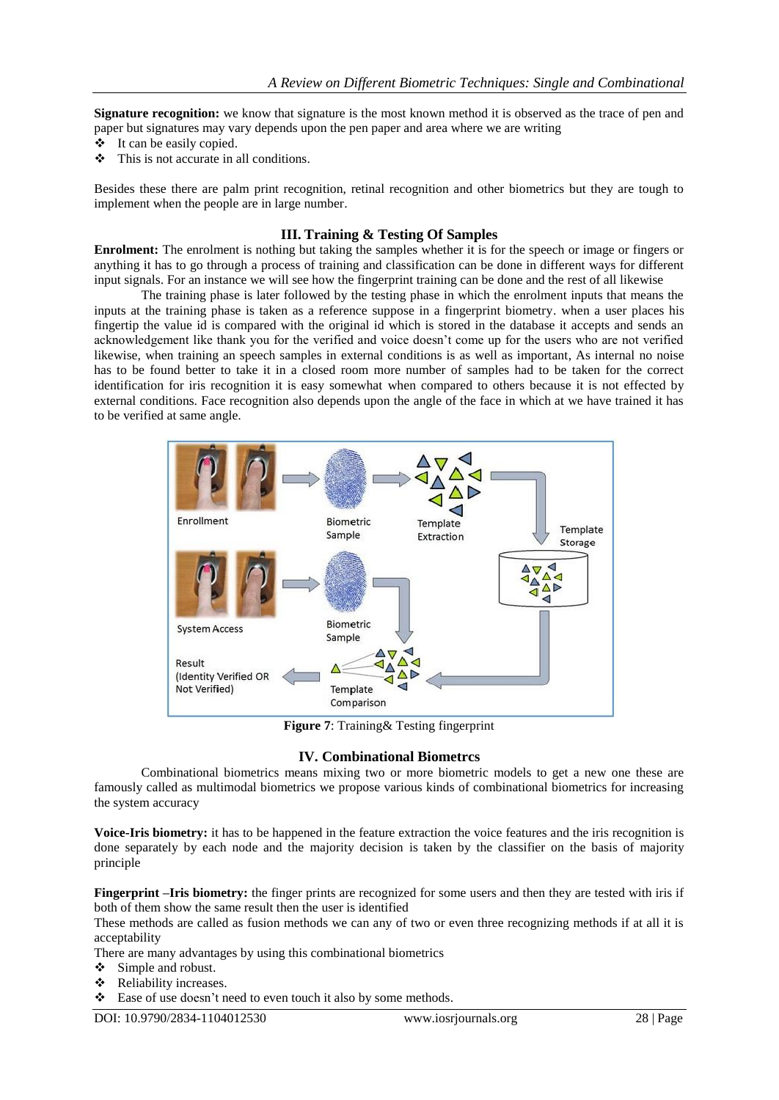**Signature recognition:** we know that signature is the most known method it is observed as the trace of pen and paper but signatures may vary depends upon the pen paper and area where we are writing

- $\div$  It can be easily copied.
- $\div$  This is not accurate in all conditions.

Besides these there are palm print recognition, retinal recognition and other biometrics but they are tough to implement when the people are in large number.

#### **III. Training & Testing Of Samples**

**Enrolment:** The enrolment is nothing but taking the samples whether it is for the speech or image or fingers or anything it has to go through a process of training and classification can be done in different ways for different input signals. For an instance we will see how the fingerprint training can be done and the rest of all likewise

The training phase is later followed by the testing phase in which the enrolment inputs that means the inputs at the training phase is taken as a reference suppose in a fingerprint biometry. when a user places his fingertip the value id is compared with the original id which is stored in the database it accepts and sends an acknowledgement like thank you for the verified and voice doesn't come up for the users who are not verified likewise, when training an speech samples in external conditions is as well as important, As internal no noise has to be found better to take it in a closed room more number of samples had to be taken for the correct identification for iris recognition it is easy somewhat when compared to others because it is not effected by external conditions. Face recognition also depends upon the angle of the face in which at we have trained it has to be verified at same angle.



**Figure 7**: Training& Testing fingerprint

#### **IV. Combinational Biometrcs**

Combinational biometrics means mixing two or more biometric models to get a new one these are famously called as multimodal biometrics we propose various kinds of combinational biometrics for increasing the system accuracy

**Voice-Iris biometry:** it has to be happened in the feature extraction the voice features and the iris recognition is done separately by each node and the majority decision is taken by the classifier on the basis of majority principle

**Fingerprint –Iris biometry:** the finger prints are recognized for some users and then they are tested with iris if both of them show the same result then the user is identified

These methods are called as fusion methods we can any of two or even three recognizing methods if at all it is acceptability

There are many advantages by using this combinational biometrics

- $\div$  Simple and robust.
- Reliability increases.
- $\div$  Ease of use doesn't need to even touch it also by some methods.

DOI: 10.9790/2834-1104012530 www.iosrjournals.org 28 | Page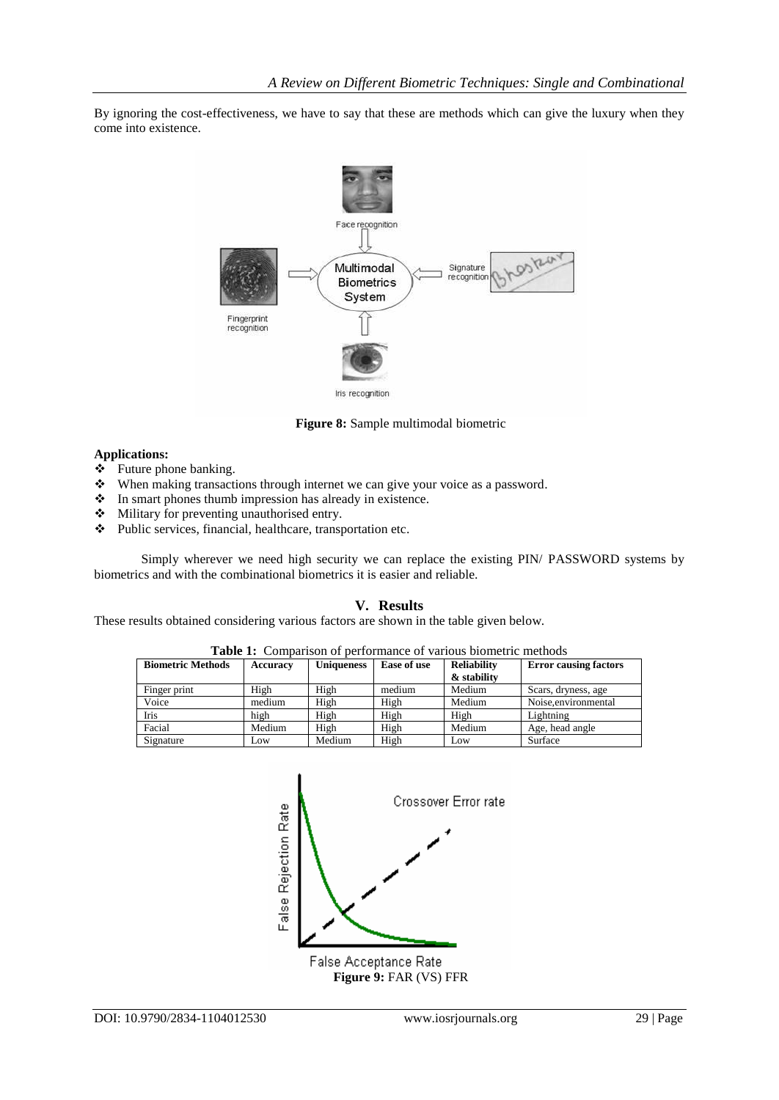By ignoring the cost-effectiveness, we have to say that these are methods which can give the luxury when they come into existence.



**Figure 8:** Sample multimodal biometric

## **Applications:**

- $\div$  Future phone banking.
- When making transactions through internet we can give your voice as a password.
- $\bullet$  In smart phones thumb impression has already in existence.
- Military for preventing unauthorised entry.
- Public services, financial, healthcare, transportation etc.

Simply wherever we need high security we can replace the existing PIN/ PASSWORD systems by biometrics and with the combinational biometrics it is easier and reliable.

## **V. Results**

These results obtained considering various factors are shown in the table given below.

| <b>Biometric Methods</b> | Accuracy | <b>Uniqueness</b> | Ease of use | <b>Reliability</b> | <b>Error causing factors</b> |
|--------------------------|----------|-------------------|-------------|--------------------|------------------------------|
|                          |          |                   |             | & stability        |                              |
| Finger print             | High     | High              | medium      | Medium             | Scars, dryness, age          |
| Voice                    | medium   | High              | High        | Medium             | Noise, environmental         |
| Iris                     | high     | High              | High        | High               | Lightning                    |
| Facial                   | Medium   | High              | High        | Medium             | Age, head angle              |
| Signature                | Low      | Medium            | High        | Low                | Surface                      |

**Table 1:** Comparison of performance of various biometric methods